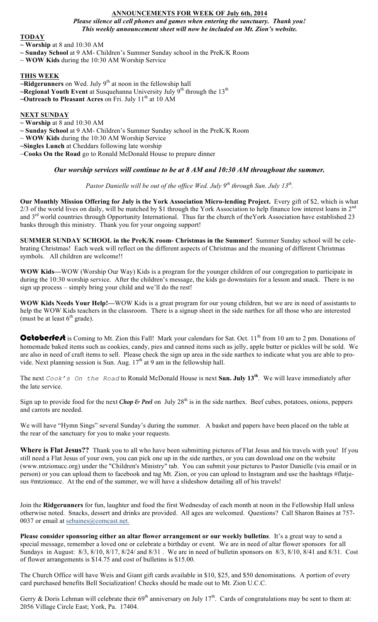# **ANNOUNCEMENTS FOR WEEK OF July 6th, 2014**

*Please silence all cell phones and games when entering the sanctuary. Thank you! This weekly announcement sheet will now be included on Mt. Zion's website.*

### **TODAY**

**~ Worship** at 8 and 10:30 AM

- **~ Sunday School** at 9 AM- Children's Summer Sunday school in the PreK/K Room
- ~ **WOW Kids** during the 10:30 AM Worship Service

## **THIS WEEK**

- **~Ridgerunners** on Wed. July 9<sup>th</sup> at noon in the fellowship hall
- **~Regional Youth Event** at Susquehanna University July 9<sup>th</sup> through the 13<sup>th</sup>
- **~Outreach to Pleasant Acres** on Fri. July 11<sup>th</sup> at 10 AM

### **NEXT SUNDAY**

- **~ Worship** at 8 and 10:30 AM
- **~ Sunday School** at 9 AM- Children's Summer Sunday school in the PreK/K Room
- ~ **WOW Kids** during the 10:30 AM Worship Service
- **~Singles Lunch** at Cheddars following late worship
- ~**Cooks On the Road** go to Ronald McDonald House to prepare dinner

# *Our worship services will continue to be at 8 AM and 10:30 AM throughout the summer.*

*Pastor Danielle will be out of the office Wed. July 9th through Sun. July 13th.* 

**Our Monthly Mission Offering for July is the York Association Micro-lending Project.** Every gift of \$2, which is what 2/3 of the world lives on daily, will be matched by \$1 through the York Association to help finance low interest loans in  $2^{nd}$ and 3<sup>rd</sup> world countries through Opportunity International. Thus far the church of theYork Association have established 23 banks through this ministry.Thank you for your ongoing support!

**SUMMER SUNDAY SCHOOL in the PreK/K room- Christmas in the Summer!** Summer Sunday school will be celebrating Christmas! Each week will reflect on the different aspects of Christmas and the meaning of different Christmas symbols. All children are welcome!!

**WOW Kids—**WOW (Worship Our Way) Kids is a program for the younger children of our congregation to participate in during the 10:30 worship service. After the children's message, the kids go downstairs for a lesson and snack. There is no sign up process – simply bring your child and we'll do the rest!

**WOW Kids Needs Your Help!—**WOW Kids is a great program for our young children, but we are in need of assistants to help the WOW Kids teachers in the classroom. There is a signup sheet in the side narthex for all those who are interested (must be at least  $6<sup>th</sup>$  grade).

**Octoberfest** is Coming to Mt. Zion this Fall! Mark your calendars for Sat. Oct.  $11<sup>th</sup>$  from 10 am to 2 pm. Donations of homemade baked items such as cookies, candy, pies and canned items such as jelly, apple butter or pickles will be sold. We are also in need of craft items to sell. Please check the sign up area in the side narthex to indicate what you are able to provide. Next planning session is Sun. Aug.  $17<sup>th</sup>$  at 9 am in the fellowship hall.

The next *Cook's On the Road* to Ronald McDonald House is next **Sun. July 13th**. We will leave immediately after the late service.

Sign up to provide food for the next *Chop & Peel* on July  $28<sup>th</sup>$  is in the side narthex. Beef cubes, potatoes, onions, peppers and carrots are needed.

We will have "Hymn Sings" several Sunday's during the summer. A basket and papers have been placed on the table at the rear of the sanctuary for you to make your requests.

Where is Flat Jesus?? Thank you to all who have been submitting pictures of Flat Jesus and his travels with you! If you still need a Flat Jesus of your own, you can pick one up in the side narthex, or you can download one on the website (www.mtzionucc.org) under the "Children's Ministry" tab. You can submit your pictures to Pastor Danielle (via email or in person) or you can upload them to facebook and tag Mt. Zion, or you can upload to Instagram and use the hashtags #flatjesus #mtzionucc. At the end of the summer, we will have a slideshow detailing all of his travels!

Join the **Ridgerunners** for fun, laughter and food the first Wednesday of each month at noon in the Fellowship Hall unless otherwise noted. Snacks, dessert and drinks are provided. All ages are welcomed. Questions? Call Sharon Baines at 757- 0037 or email at sebaines@comcast.net.

**Please consider sponsoring either an altar flower arrangement or our weekly bulletins**. It's a great way to send a special message, remember a loved one or celebrate a birthday or event. We are in need of altar flower sponsors for all Sundays in August: 8/3, 8/10, 8/17, 8/24/ and 8/31 . We are in need of bulletin sponsors on 8/3, 8/10, 8/41 and 8/31. Cost of flower arrangements is \$14.75 and cost of bulletins is \$15.00.

The Church Office will have Weis and Giant gift cards available in \$10, \$25, and \$50 denominations. A portion of every card purchased benefits Bell Socialization! Checks should be made out to Mt. Zion U.C.C.

Gerry & Doris Lehman will celebrate their  $69<sup>th</sup>$  anniversary on July 17<sup>th</sup>. Cards of congratulations may be sent to them at: 2056 Village Circle East; York, Pa. 17404.